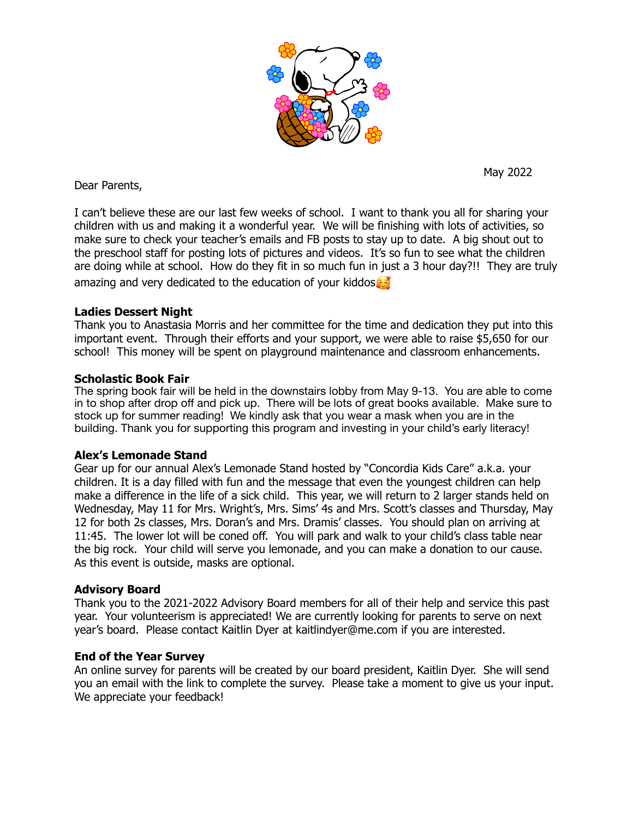

Dear Parents,

May 2022

I can't believe these are our last few weeks of school. I want to thank you all for sharing your children with us and making it a wonderful year. We will be finishing with lots of activities, so make sure to check your teacher's emails and FB posts to stay up to date. A big shout out to the preschool staff for posting lots of pictures and videos. It's so fun to see what the children are doing while at school. How do they fit in so much fun in just a 3 hour day?!! They are truly amazing and very dedicated to the education of your kiddos

# **Ladies Dessert Night**

Thank you to Anastasia Morris and her committee for the time and dedication they put into this important event. Through their efforts and your support, we were able to raise \$5,650 for our school! This money will be spent on playground maintenance and classroom enhancements.

# **Scholastic Book Fair**

The spring book fair will be held in the downstairs lobby from May 9-13. You are able to come in to shop after drop off and pick up. There will be lots of great books available. Make sure to stock up for summer reading! We kindly ask that you wear a mask when you are in the building. Thank you for supporting this program and investing in your child's early literacy!

# **Alex's Lemonade Stand**

Gear up for our annual Alex's Lemonade Stand hosted by "Concordia Kids Care" a.k.a. your children. It is a day filled with fun and the message that even the youngest children can help make a difference in the life of a sick child. This year, we will return to 2 larger stands held on Wednesday, May 11 for Mrs. Wright's, Mrs. Sims' 4s and Mrs. Scott's classes and Thursday, May 12 for both 2s classes, Mrs. Doran's and Mrs. Dramis' classes. You should plan on arriving at 11:45. The lower lot will be coned off. You will park and walk to your child's class table near the big rock. Your child will serve you lemonade, and you can make a donation to our cause. As this event is outside, masks are optional.

### **Advisory Board**

Thank you to the 2021-2022 Advisory Board members for all of their help and service this past year. Your volunteerism is appreciated! We are currently looking for parents to serve on next year's board. Please contact Kaitlin Dyer at kaitlindyer@me.com if you are interested.

### **End of the Year Survey**

An online survey for parents will be created by our board president, Kaitlin Dyer. She will send you an email with the link to complete the survey. Please take a moment to give us your input. We appreciate your feedback!